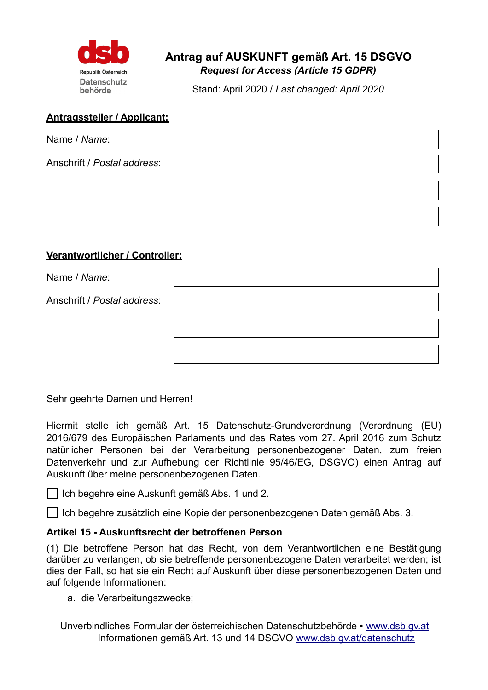

# **Antrag auf AUSKUNFT gemäß Art. 15 DSGVO** *Request for Access (Article 15 GDPR)*

Stand: April 2020 / *Last changed: April 2020*

#### **Antragssteller / Applicant:**

| Name / Name:                |  |
|-----------------------------|--|
| Anschrift / Postal address: |  |
|                             |  |
|                             |  |

## **Verantwortlicher / Controller:**

| Name / Name:                |  |
|-----------------------------|--|
| Anschrift / Postal address: |  |
|                             |  |
|                             |  |

Sehr geehrte Damen und Herren!

Hiermit stelle ich gemäß Art. 15 Datenschutz-Grundverordnung (Verordnung (EU) 2016/679 des Europäischen Parlaments und des Rates vom 27. April 2016 zum Schutz natürlicher Personen bei der Verarbeitung personenbezogener Daten, zum freien Datenverkehr und zur Aufhebung der Richtlinie 95/46/EG, DSGVO) einen Antrag auf Auskunft über meine personenbezogenen Daten.

Ich begehre eine Auskunft gemäß Abs. 1 und 2.

Ich begehre zusätzlich eine Kopie der personenbezogenen Daten gemäß Abs. 3.

### **Artikel 15 - Auskunftsrecht der betroffenen Person**

(1) Die betroffene Person hat das Recht, von dem Verantwortlichen eine Bestätigung darüber zu verlangen, ob sie betreffende personenbezogene Daten verarbeitet werden; ist dies der Fall, so hat sie ein Recht auf Auskunft über diese personenbezogenen Daten und auf folgende Informationen:

a. die Verarbeitungszwecke;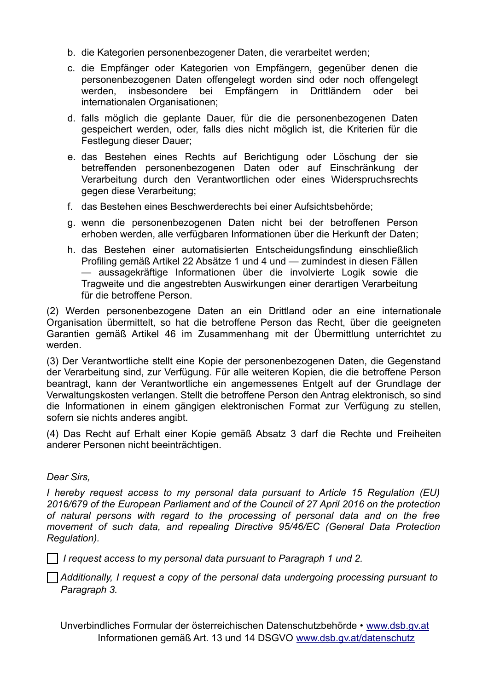- b. die Kategorien personenbezogener Daten, die verarbeitet werden;
- c. die Empfänger oder Kategorien von Empfängern, gegenüber denen die personenbezogenen Daten offengelegt worden sind oder noch offengelegt werden, insbesondere bei Empfängern in Drittländern oder bei internationalen Organisationen;
- d. falls möglich die geplante Dauer, für die die personenbezogenen Daten gespeichert werden, oder, falls dies nicht möglich ist, die Kriterien für die Festlegung dieser Dauer;
- e. das Bestehen eines Rechts auf Berichtigung oder Löschung der sie betreffenden personenbezogenen Daten oder auf Einschränkung der Verarbeitung durch den Verantwortlichen oder eines Widerspruchsrechts gegen diese Verarbeitung;
- f. das Bestehen eines Beschwerderechts bei einer Aufsichtsbehörde;
- g. wenn die personenbezogenen Daten nicht bei der betroffenen Person erhoben werden, alle verfügbaren Informationen über die Herkunft der Daten;
- h. das Bestehen einer automatisierten Entscheidungsfindung einschließlich Profiling gemäß Artikel 22 Absätze 1 und 4 und — zumindest in diesen Fällen — aussagekräftige Informationen über die involvierte Logik sowie die Tragweite und die angestrebten Auswirkungen einer derartigen Verarbeitung für die betroffene Person.

(2) Werden personenbezogene Daten an ein Drittland oder an eine internationale Organisation übermittelt, so hat die betroffene Person das Recht, über die geeigneten Garantien gemäß Artikel 46 im Zusammenhang mit der Übermittlung unterrichtet zu werden.

(3) Der Verantwortliche stellt eine Kopie der personenbezogenen Daten, die Gegenstand der Verarbeitung sind, zur Verfügung. Für alle weiteren Kopien, die die betroffene Person beantragt, kann der Verantwortliche ein angemessenes Entgelt auf der Grundlage der Verwaltungskosten verlangen. Stellt die betroffene Person den Antrag elektronisch, so sind die Informationen in einem gängigen elektronischen Format zur Verfügung zu stellen, sofern sie nichts anderes angibt.

(4) Das Recht auf Erhalt einer Kopie gemäß Absatz 3 darf die Rechte und Freiheiten anderer Personen nicht beeinträchtigen.

### *Dear Sirs,*

*I hereby request access to my personal data pursuant to Article 15 Regulation (EU) 2016/679 of the European Parliament and of the Council of 27 April 2016 on the protection of natural persons with regard to the processing of personal data and on the free movement of such data, and repealing Directive 95/46/EC (General Data Protection Regulation).*

*I request access to my personal data pursuant to Paragraph 1 und 2.*

*Additionally, I request a copy of the personal data undergoing processing pursuant to Paragraph 3.*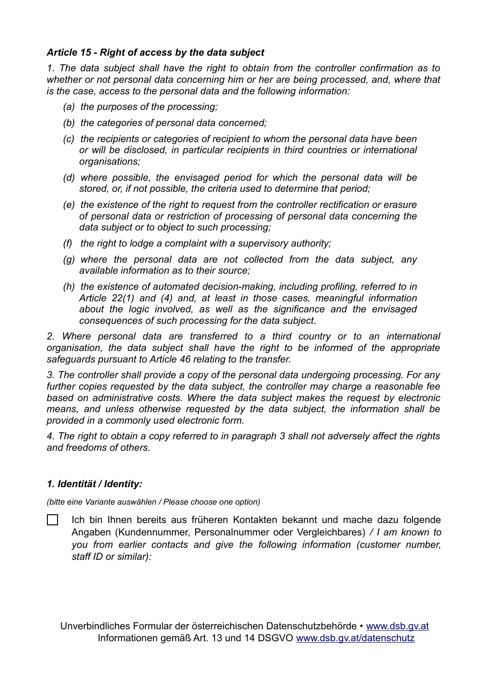### *Article 15 - Right of access by the data subject*

*1. The data subject shall have the right to obtain from the controller confirmation as to whether or not personal data concerning him or her are being processed, and, where that is the case, access to the personal data and the following information:*

- *(a) the purposes of the processing;*
- *(b) the categories of personal data concerned;*
- *(c) the recipients or categories of recipient to whom the personal data have been or will be disclosed, in particular recipients in third countries or international organisations;*
- *(d) where possible, the envisaged period for which the personal data will be stored, or, if not possible, the criteria used to determine that period;*
- *(e) the existence of the right to request from the controller rectification or erasure of personal data or restriction of processing of personal data concerning the data subject or to object to such processing;*
- *(f) the right to lodge a complaint with a supervisory authority;*
- *(g) where the personal data are not collected from the data subject, any available information as to their source;*
- *(h) the existence of automated decision-making, including profiling, referred to in Article 22(1) and (4) and, at least in those cases, meaningful information about the logic involved, as well as the significance and the envisaged consequences of such processing for the data subject.*

*2. Where personal data are transferred to a third country or to an international organisation, the data subject shall have the right to be informed of the appropriate safeguards pursuant to Article 46 relating to the transfer.*

*3. The controller shall provide a copy of the personal data undergoing processing. For any further copies requested by the data subject, the controller may charge a reasonable fee based on administrative costs. Where the data subject makes the request by electronic means, and unless otherwise requested by the data subject, the information shall be provided in a commonly used electronic form.*

*4. The right to obtain a copy referred to in paragraph 3 shall not adversely affect the rights and freedoms of others.*

### *1. Identität / Identity:*

*(bitte eine Variante auswählen / Please choose one option)*

 $\Box$ Ich bin Ihnen bereits aus früheren Kontakten bekannt und mache dazu folgende Angaben (Kundennummer, Personalnummer oder Vergleichbares) */ I am known to you from earlier contacts and give the following information (customer number, staff ID or similar):*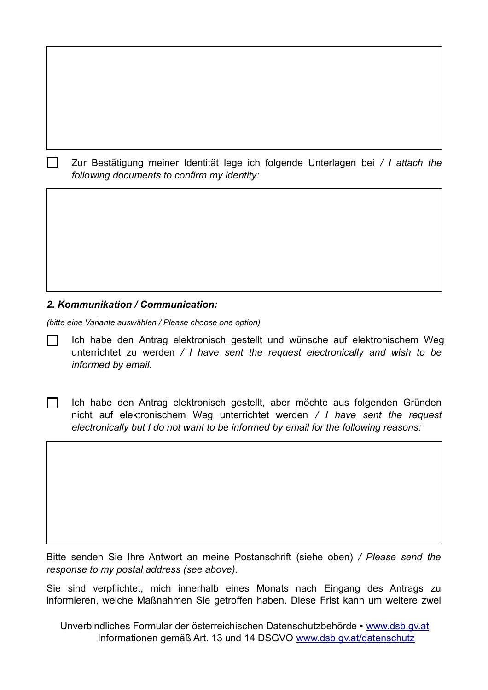Zur Bestätigung meiner Identität lege ich folgende Unterlagen bei */ I attach the following documents to confirm my identity:*

### *2. Kommunikation / Communication:*

 $\perp$ 

*(bitte eine Variante auswählen / Please choose one option)*

Ich habe den Antrag elektronisch gestellt und wünsche auf elektronischem Weg unterrichtet zu werden */ I have sent the request electronically and wish to be informed by email.* 

 $\Box$ Ich habe den Antrag elektronisch gestellt, aber möchte aus folgenden Gründen nicht auf elektronischem Weg unterrichtet werden */ I have sent the request electronically but I do not want to be informed by email for the following reasons:*

Bitte senden Sie Ihre Antwort an meine Postanschrift (siehe oben) */ Please send the response to my postal address (see above).*

Sie sind verpflichtet, mich innerhalb eines Monats nach Eingang des Antrags zu informieren, welche Maßnahmen Sie getroffen haben. Diese Frist kann um weitere zwei